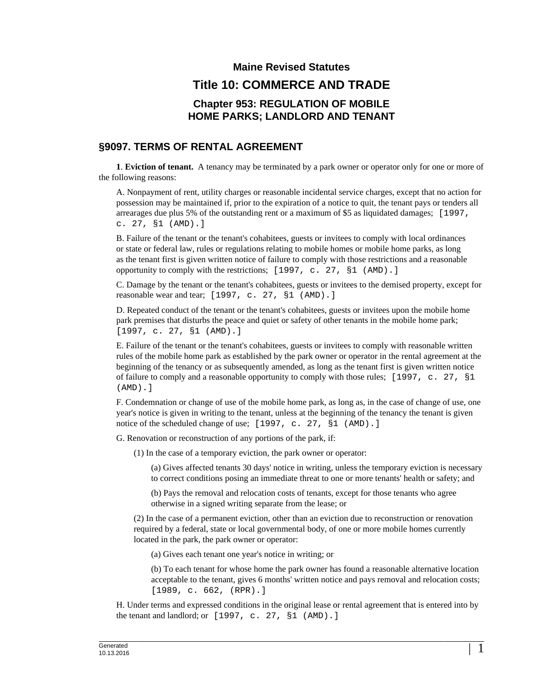## **Maine Revised Statutes Title 10: COMMERCE AND TRADE Chapter 953: REGULATION OF MOBILE HOME PARKS; LANDLORD AND TENANT**

## **§9097. TERMS OF RENTAL AGREEMENT**

**1**. **Eviction of tenant.** A tenancy may be terminated by a park owner or operator only for one or more of the following reasons:

A. Nonpayment of rent, utility charges or reasonable incidental service charges, except that no action for possession may be maintained if, prior to the expiration of a notice to quit, the tenant pays or tenders all arrearages due plus 5% of the outstanding rent or a maximum of \$5 as liquidated damages; [1997, c. 27, §1 (AMD).]

B. Failure of the tenant or the tenant's cohabitees, guests or invitees to comply with local ordinances or state or federal law, rules or regulations relating to mobile homes or mobile home parks, as long as the tenant first is given written notice of failure to comply with those restrictions and a reasonable opportunity to comply with the restrictions; [1997, c. 27, §1 (AMD).]

C. Damage by the tenant or the tenant's cohabitees, guests or invitees to the demised property, except for reasonable wear and tear; [1997, c. 27, §1 (AMD).]

D. Repeated conduct of the tenant or the tenant's cohabitees, guests or invitees upon the mobile home park premises that disturbs the peace and quiet or safety of other tenants in the mobile home park; [1997, c. 27, §1 (AMD).]

E. Failure of the tenant or the tenant's cohabitees, guests or invitees to comply with reasonable written rules of the mobile home park as established by the park owner or operator in the rental agreement at the beginning of the tenancy or as subsequently amended, as long as the tenant first is given written notice of failure to comply and a reasonable opportunity to comply with those rules; [1997, c. 27, §1 (AMD).]

F. Condemnation or change of use of the mobile home park, as long as, in the case of change of use, one year's notice is given in writing to the tenant, unless at the beginning of the tenancy the tenant is given notice of the scheduled change of use; [1997, c. 27, §1 (AMD).]

G. Renovation or reconstruction of any portions of the park, if:

(1) In the case of a temporary eviction, the park owner or operator:

(a) Gives affected tenants 30 days' notice in writing, unless the temporary eviction is necessary to correct conditions posing an immediate threat to one or more tenants' health or safety; and

(b) Pays the removal and relocation costs of tenants, except for those tenants who agree otherwise in a signed writing separate from the lease; or

(2) In the case of a permanent eviction, other than an eviction due to reconstruction or renovation required by a federal, state or local governmental body, of one or more mobile homes currently located in the park, the park owner or operator:

(a) Gives each tenant one year's notice in writing; or

(b) To each tenant for whose home the park owner has found a reasonable alternative location acceptable to the tenant, gives 6 months' written notice and pays removal and relocation costs; [1989, c. 662, (RPR).]

H. Under terms and expressed conditions in the original lease or rental agreement that is entered into by the tenant and landlord; or [1997, c. 27, §1 (AMD).]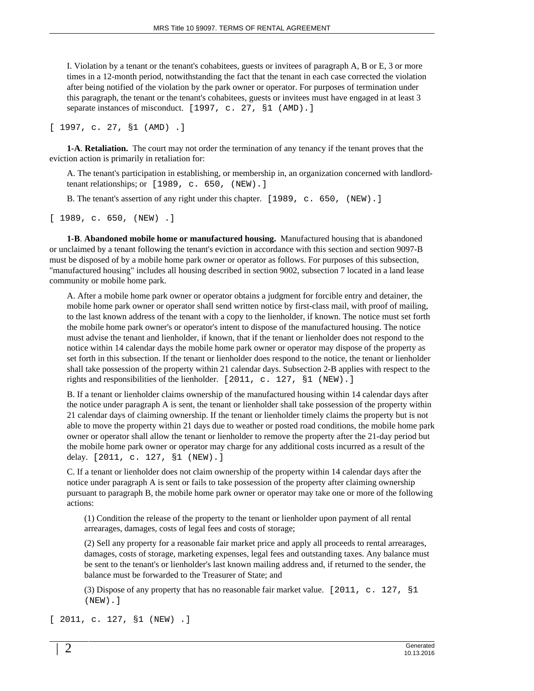I. Violation by a tenant or the tenant's cohabitees, guests or invitees of paragraph A, B or E, 3 or more times in a 12-month period, notwithstanding the fact that the tenant in each case corrected the violation after being notified of the violation by the park owner or operator. For purposes of termination under this paragraph, the tenant or the tenant's cohabitees, guests or invitees must have engaged in at least 3 separate instances of misconduct. [1997, c. 27, §1 (AMD).]

[ 1997, c. 27, §1 (AMD) .]

**1-A**. **Retaliation.** The court may not order the termination of any tenancy if the tenant proves that the eviction action is primarily in retaliation for:

A. The tenant's participation in establishing, or membership in, an organization concerned with landlordtenant relationships; or [1989, c. 650, (NEW).]

B. The tenant's assertion of any right under this chapter. [1989, c. 650, (NEW).]

 $[1989, c. 650, (NEW).]$ 

**1-B**. **Abandoned mobile home or manufactured housing.** Manufactured housing that is abandoned or unclaimed by a tenant following the tenant's eviction in accordance with this section and section 9097-B must be disposed of by a mobile home park owner or operator as follows. For purposes of this subsection, "manufactured housing" includes all housing described in section 9002, subsection 7 located in a land lease community or mobile home park.

A. After a mobile home park owner or operator obtains a judgment for forcible entry and detainer, the mobile home park owner or operator shall send written notice by first-class mail, with proof of mailing, to the last known address of the tenant with a copy to the lienholder, if known. The notice must set forth the mobile home park owner's or operator's intent to dispose of the manufactured housing. The notice must advise the tenant and lienholder, if known, that if the tenant or lienholder does not respond to the notice within 14 calendar days the mobile home park owner or operator may dispose of the property as set forth in this subsection. If the tenant or lienholder does respond to the notice, the tenant or lienholder shall take possession of the property within 21 calendar days. Subsection 2-B applies with respect to the rights and responsibilities of the lienholder. [2011, c. 127, §1 (NEW).]

B. If a tenant or lienholder claims ownership of the manufactured housing within 14 calendar days after the notice under paragraph A is sent, the tenant or lienholder shall take possession of the property within 21 calendar days of claiming ownership. If the tenant or lienholder timely claims the property but is not able to move the property within 21 days due to weather or posted road conditions, the mobile home park owner or operator shall allow the tenant or lienholder to remove the property after the 21-day period but the mobile home park owner or operator may charge for any additional costs incurred as a result of the delay. [2011, c. 127, §1 (NEW).]

C. If a tenant or lienholder does not claim ownership of the property within 14 calendar days after the notice under paragraph A is sent or fails to take possession of the property after claiming ownership pursuant to paragraph B, the mobile home park owner or operator may take one or more of the following actions:

(1) Condition the release of the property to the tenant or lienholder upon payment of all rental arrearages, damages, costs of legal fees and costs of storage;

(2) Sell any property for a reasonable fair market price and apply all proceeds to rental arrearages, damages, costs of storage, marketing expenses, legal fees and outstanding taxes. Any balance must be sent to the tenant's or lienholder's last known mailing address and, if returned to the sender, the balance must be forwarded to the Treasurer of State; and

(3) Dispose of any property that has no reasonable fair market value. [2011, c. 127, §1 (NEW).]

[ 2011, c. 127, §1 (NEW) .]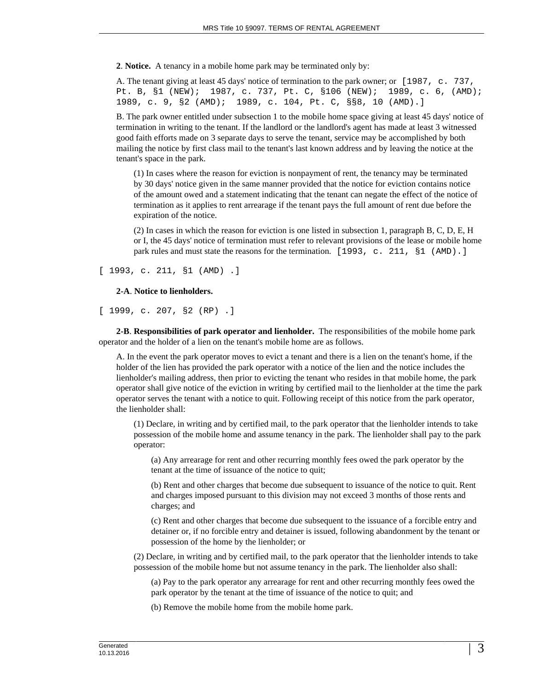**2**. **Notice.** A tenancy in a mobile home park may be terminated only by:

A. The tenant giving at least 45 days' notice of termination to the park owner; or [1987, c. 737, Pt. B, §1 (NEW); 1987, c. 737, Pt. C, §106 (NEW); 1989, c. 6, (AMD); 1989, c. 9, §2 (AMD); 1989, c. 104, Pt. C, §§8, 10 (AMD).]

B. The park owner entitled under subsection 1 to the mobile home space giving at least 45 days' notice of termination in writing to the tenant. If the landlord or the landlord's agent has made at least 3 witnessed good faith efforts made on 3 separate days to serve the tenant, service may be accomplished by both mailing the notice by first class mail to the tenant's last known address and by leaving the notice at the tenant's space in the park.

(1) In cases where the reason for eviction is nonpayment of rent, the tenancy may be terminated by 30 days' notice given in the same manner provided that the notice for eviction contains notice of the amount owed and a statement indicating that the tenant can negate the effect of the notice of termination as it applies to rent arrearage if the tenant pays the full amount of rent due before the expiration of the notice.

(2) In cases in which the reason for eviction is one listed in subsection 1, paragraph B, C, D, E, H or I, the 45 days' notice of termination must refer to relevant provisions of the lease or mobile home park rules and must state the reasons for the termination.  $[1993, c. 211, \S1 (AMD).]$ 

[ 1993, c. 211, §1 (AMD) .]

## **2-A**. **Notice to lienholders.**

[ 1999, c. 207, §2 (RP) .]

**2-B**. **Responsibilities of park operator and lienholder.** The responsibilities of the mobile home park operator and the holder of a lien on the tenant's mobile home are as follows.

A. In the event the park operator moves to evict a tenant and there is a lien on the tenant's home, if the holder of the lien has provided the park operator with a notice of the lien and the notice includes the lienholder's mailing address, then prior to evicting the tenant who resides in that mobile home, the park operator shall give notice of the eviction in writing by certified mail to the lienholder at the time the park operator serves the tenant with a notice to quit. Following receipt of this notice from the park operator, the lienholder shall:

(1) Declare, in writing and by certified mail, to the park operator that the lienholder intends to take possession of the mobile home and assume tenancy in the park. The lienholder shall pay to the park operator:

(a) Any arrearage for rent and other recurring monthly fees owed the park operator by the tenant at the time of issuance of the notice to quit;

(b) Rent and other charges that become due subsequent to issuance of the notice to quit. Rent and charges imposed pursuant to this division may not exceed 3 months of those rents and charges; and

(c) Rent and other charges that become due subsequent to the issuance of a forcible entry and detainer or, if no forcible entry and detainer is issued, following abandonment by the tenant or possession of the home by the lienholder; or

(2) Declare, in writing and by certified mail, to the park operator that the lienholder intends to take possession of the mobile home but not assume tenancy in the park. The lienholder also shall:

(a) Pay to the park operator any arrearage for rent and other recurring monthly fees owed the park operator by the tenant at the time of issuance of the notice to quit; and

(b) Remove the mobile home from the mobile home park.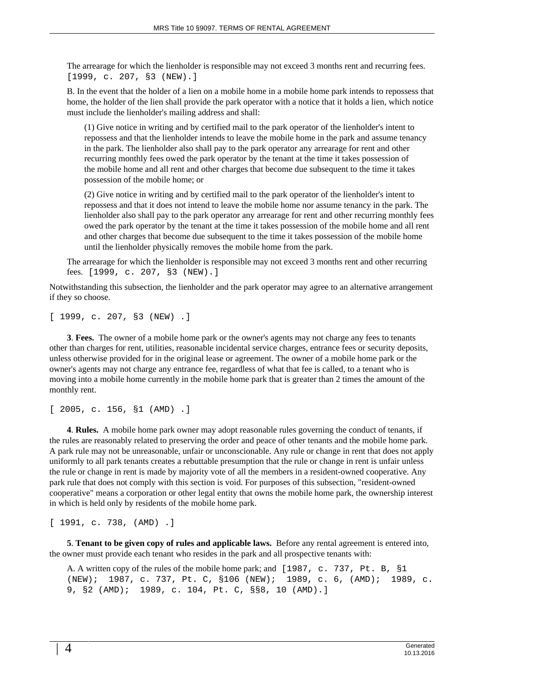The arrearage for which the lienholder is responsible may not exceed 3 months rent and recurring fees. [1999, c. 207, §3 (NEW).]

B. In the event that the holder of a lien on a mobile home in a mobile home park intends to repossess that home, the holder of the lien shall provide the park operator with a notice that it holds a lien, which notice must include the lienholder's mailing address and shall:

(1) Give notice in writing and by certified mail to the park operator of the lienholder's intent to repossess and that the lienholder intends to leave the mobile home in the park and assume tenancy in the park. The lienholder also shall pay to the park operator any arrearage for rent and other recurring monthly fees owed the park operator by the tenant at the time it takes possession of the mobile home and all rent and other charges that become due subsequent to the time it takes possession of the mobile home; or

(2) Give notice in writing and by certified mail to the park operator of the lienholder's intent to repossess and that it does not intend to leave the mobile home nor assume tenancy in the park. The lienholder also shall pay to the park operator any arrearage for rent and other recurring monthly fees owed the park operator by the tenant at the time it takes possession of the mobile home and all rent and other charges that become due subsequent to the time it takes possession of the mobile home until the lienholder physically removes the mobile home from the park.

The arrearage for which the lienholder is responsible may not exceed 3 months rent and other recurring fees. [1999, c. 207, §3 (NEW).]

Notwithstanding this subsection, the lienholder and the park operator may agree to an alternative arrangement if they so choose.

[ 1999, c. 207, §3 (NEW) .]

**3**. **Fees.** The owner of a mobile home park or the owner's agents may not charge any fees to tenants other than charges for rent, utilities, reasonable incidental service charges, entrance fees or security deposits, unless otherwise provided for in the original lease or agreement. The owner of a mobile home park or the owner's agents may not charge any entrance fee, regardless of what that fee is called, to a tenant who is moving into a mobile home currently in the mobile home park that is greater than 2 times the amount of the monthly rent.

[ 2005, c. 156, §1 (AMD) .]

**4**. **Rules.** A mobile home park owner may adopt reasonable rules governing the conduct of tenants, if the rules are reasonably related to preserving the order and peace of other tenants and the mobile home park. A park rule may not be unreasonable, unfair or unconscionable. Any rule or change in rent that does not apply uniformly to all park tenants creates a rebuttable presumption that the rule or change in rent is unfair unless the rule or change in rent is made by majority vote of all the members in a resident-owned cooperative. Any park rule that does not comply with this section is void. For purposes of this subsection, "resident-owned cooperative" means a corporation or other legal entity that owns the mobile home park, the ownership interest in which is held only by residents of the mobile home park.

[ 1991, c. 738, (AMD) .]

**5**. **Tenant to be given copy of rules and applicable laws.** Before any rental agreement is entered into, the owner must provide each tenant who resides in the park and all prospective tenants with:

A. A written copy of the rules of the mobile home park; and [1987, c. 737, Pt. B, §1 (NEW); 1987, c. 737, Pt. C, §106 (NEW); 1989, c. 6, (AMD); 1989, c. 9, §2 (AMD); 1989, c. 104, Pt. C, §§8, 10 (AMD).]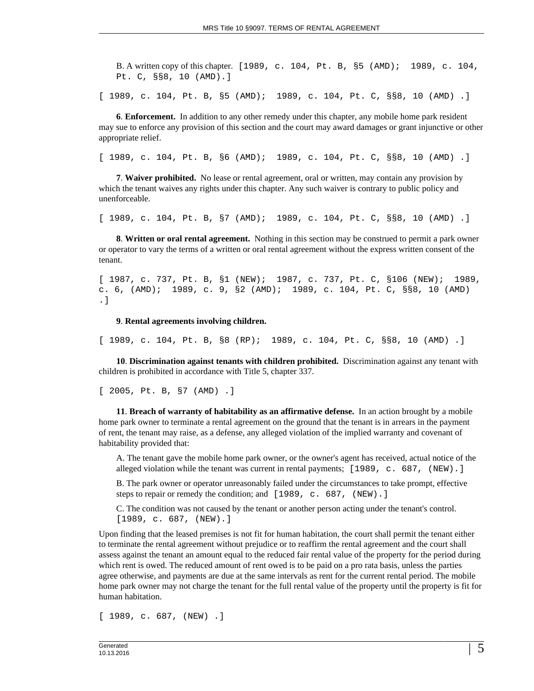B. A written copy of this chapter. [1989, c. 104, Pt. B, §5 (AMD); 1989, c. 104, Pt. C, §§8, 10 (AMD).]

[ 1989, c. 104, Pt. B, §5 (AMD); 1989, c. 104, Pt. C, §§8, 10 (AMD) .]

**6**. **Enforcement.** In addition to any other remedy under this chapter, any mobile home park resident may sue to enforce any provision of this section and the court may award damages or grant injunctive or other appropriate relief.

[ 1989, c. 104, Pt. B, §6 (AMD); 1989, c. 104, Pt. C, §§8, 10 (AMD) .]

**7**. **Waiver prohibited.** No lease or rental agreement, oral or written, may contain any provision by which the tenant waives any rights under this chapter. Any such waiver is contrary to public policy and unenforceable.

[ 1989, c. 104, Pt. B, §7 (AMD); 1989, c. 104, Pt. C, §§8, 10 (AMD) .]

**8**. **Written or oral rental agreement.** Nothing in this section may be construed to permit a park owner or operator to vary the terms of a written or oral rental agreement without the express written consent of the tenant.

[ 1987, c. 737, Pt. B, §1 (NEW); 1987, c. 737, Pt. C, §106 (NEW); 1989, c. 6, (AMD); 1989, c. 9, §2 (AMD); 1989, c. 104, Pt. C, §§8, 10 (AMD) .]

**9**. **Rental agreements involving children.**

[ 1989, c. 104, Pt. B, §8 (RP); 1989, c. 104, Pt. C, §§8, 10 (AMD) .]

**10**. **Discrimination against tenants with children prohibited.** Discrimination against any tenant with children is prohibited in accordance with Title 5, chapter 337.

[ 2005, Pt. B, §7 (AMD) .]

**11**. **Breach of warranty of habitability as an affirmative defense.** In an action brought by a mobile home park owner to terminate a rental agreement on the ground that the tenant is in arrears in the payment of rent, the tenant may raise, as a defense, any alleged violation of the implied warranty and covenant of habitability provided that:

A. The tenant gave the mobile home park owner, or the owner's agent has received, actual notice of the alleged violation while the tenant was current in rental payments;  $\left[1989, c. 687, (NEW) . \right]$ 

B. The park owner or operator unreasonably failed under the circumstances to take prompt, effective steps to repair or remedy the condition; and [1989, c. 687, (NEW).]

C. The condition was not caused by the tenant or another person acting under the tenant's control. [1989, c. 687, (NEW).]

Upon finding that the leased premises is not fit for human habitation, the court shall permit the tenant either to terminate the rental agreement without prejudice or to reaffirm the rental agreement and the court shall assess against the tenant an amount equal to the reduced fair rental value of the property for the period during which rent is owed. The reduced amount of rent owed is to be paid on a pro rata basis, unless the parties agree otherwise, and payments are due at the same intervals as rent for the current rental period. The mobile home park owner may not charge the tenant for the full rental value of the property until the property is fit for human habitation.

[ 1989, c. 687, (NEW) .]